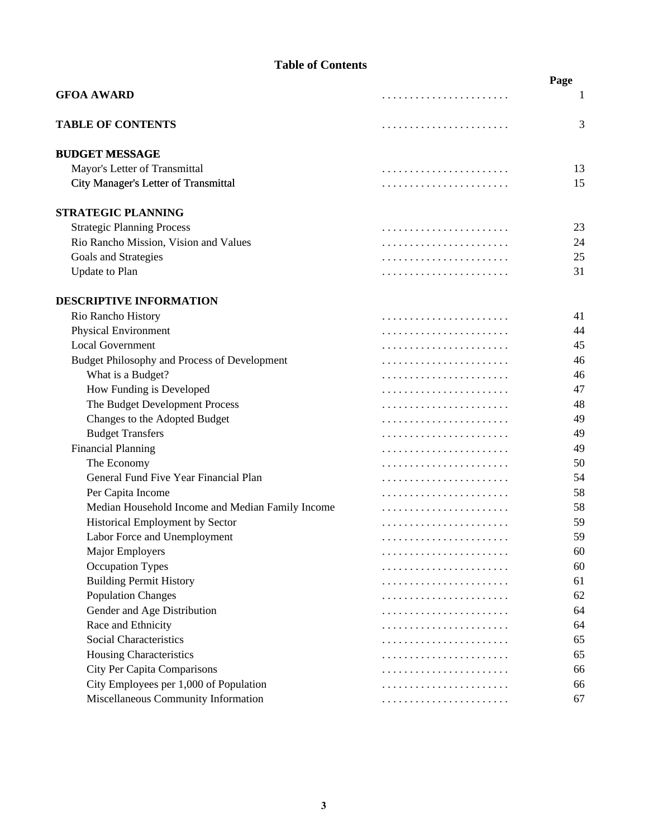|                                                  | Page |
|--------------------------------------------------|------|
| <b>GFOA AWARD</b>                                | 1    |
| <b>TABLE OF CONTENTS</b>                         | 3    |
| <b>BUDGET MESSAGE</b>                            |      |
| Mayor's Letter of Transmittal                    | 13   |
| City Manager's Letter of Transmittal             | 15   |
| <b>STRATEGIC PLANNING</b>                        |      |
| <b>Strategic Planning Process</b>                | 23   |
| Rio Rancho Mission, Vision and Values            | 24   |
| Goals and Strategies                             | 25   |
| <b>Update to Plan</b>                            | 31   |
| <b>DESCRIPTIVE INFORMATION</b>                   |      |
| Rio Rancho History                               | 41   |
| Physical Environment                             | 44   |
| <b>Local Government</b>                          | 45   |
| Budget Philosophy and Process of Development     | 46   |
| What is a Budget?                                | 46   |
| How Funding is Developed                         | 47   |
| The Budget Development Process                   | 48   |
| Changes to the Adopted Budget                    | 49   |
| <b>Budget Transfers</b>                          | 49   |
| <b>Financial Planning</b>                        | 49   |
| The Economy                                      | 50   |
| General Fund Five Year Financial Plan            | 54   |
| Per Capita Income                                | 58   |
| Median Household Income and Median Family Income | 58   |
| Historical Employment by Sector                  | 59   |
| Labor Force and Unemployment                     | 59   |
| Major Employers                                  | 60   |
| <b>Occupation Types</b>                          | 60   |
| <b>Building Permit History</b>                   | 61   |
| <b>Population Changes</b>                        | 62   |
| Gender and Age Distribution                      | 64   |
| Race and Ethnicity                               | 64   |
| Social Characteristics                           | 65   |
| Housing Characteristics                          | 65   |
| <b>City Per Capita Comparisons</b>               | 66   |
| City Employees per 1,000 of Population           | 66   |
| Miscellaneous Community Information              | 67   |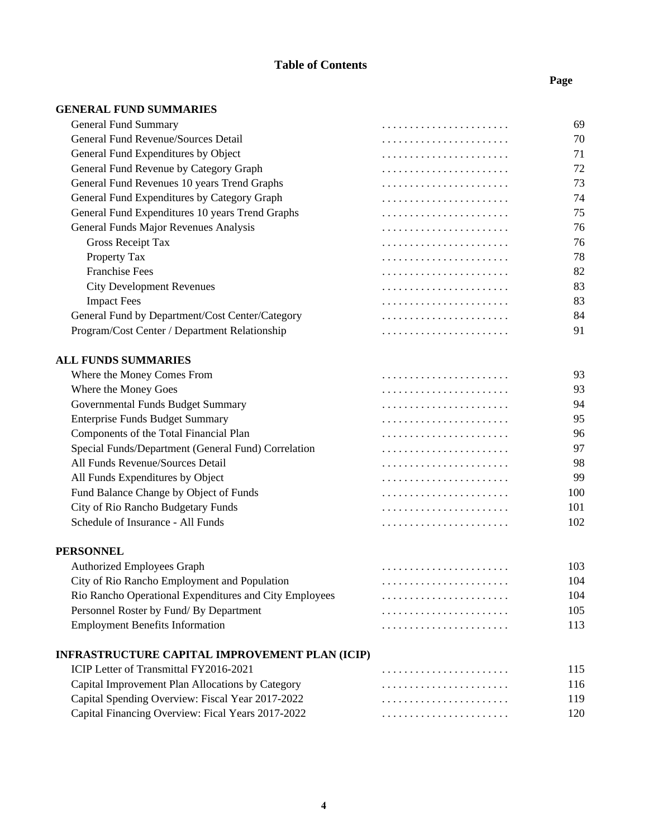#### **Page**

#### **GENERAL FUND SUMMARIES**

| <b>General Fund Summary</b>                            | 69  |
|--------------------------------------------------------|-----|
| General Fund Revenue/Sources Detail                    | 70  |
| General Fund Expenditures by Object                    | 71  |
| General Fund Revenue by Category Graph                 | 72  |
| General Fund Revenues 10 years Trend Graphs            | 73  |
| General Fund Expenditures by Category Graph            | 74  |
| General Fund Expenditures 10 years Trend Graphs        | 75  |
| General Funds Major Revenues Analysis                  | 76  |
| <b>Gross Receipt Tax</b>                               | 76  |
| Property Tax                                           | 78  |
| <b>Franchise Fees</b>                                  | 82  |
| <b>City Development Revenues</b>                       | 83  |
| <b>Impact Fees</b>                                     | 83  |
| General Fund by Department/Cost Center/Category        | 84  |
| Program/Cost Center / Department Relationship          | 91  |
| <b>ALL FUNDS SUMMARIES</b>                             |     |
| Where the Money Comes From                             | 93  |
| Where the Money Goes                                   | 93  |
| Governmental Funds Budget Summary                      | 94  |
| <b>Enterprise Funds Budget Summary</b>                 | 95  |
| Components of the Total Financial Plan                 | 96  |
| Special Funds/Department (General Fund) Correlation    | 97  |
| All Funds Revenue/Sources Detail                       | 98  |
| All Funds Expenditures by Object                       | 99  |
| Fund Balance Change by Object of Funds                 | 100 |
| City of Rio Rancho Budgetary Funds                     | 101 |
| Schedule of Insurance - All Funds                      | 102 |
| PERSONNEL                                              |     |
| <b>Authorized Employees Graph</b>                      | 103 |
| City of Rio Rancho Employment and Population           | 104 |
| Rio Rancho Operational Expenditures and City Employees | 104 |
| Personnel Roster by Fund/ By Department                | 105 |
| <b>Employment Benefits Information</b>                 | 113 |
| INFRASTRUCTURE CAPITAL IMPROVEMENT PLAN (ICIP)         |     |
| ICIP Letter of Transmittal FY2016-2021                 | 115 |
| Capital Improvement Plan Allocations by Category       | 116 |
| Capital Spending Overview: Fiscal Year 2017-2022       | 119 |
|                                                        |     |

Capital Financing Overview: Fical Years 2017-2022 . . . . . . . . . . . . . . . . . . . . . . . 120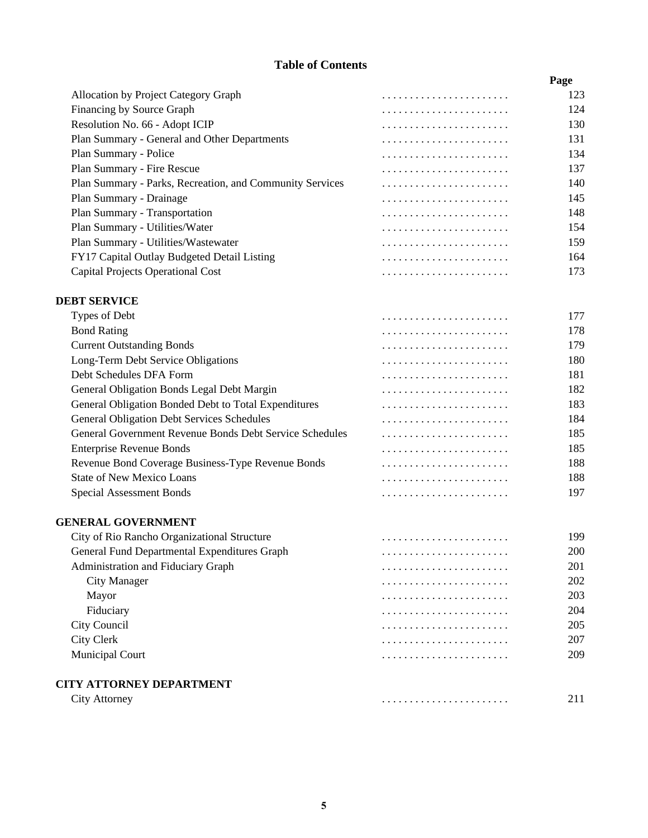|                                                          | Page |
|----------------------------------------------------------|------|
| Allocation by Project Category Graph                     | 123  |
| Financing by Source Graph                                | 124  |
| Resolution No. 66 - Adopt ICIP                           | 130  |
| Plan Summary - General and Other Departments             | 131  |
| Plan Summary - Police                                    | 134  |
| Plan Summary - Fire Rescue                               | 137  |
| Plan Summary - Parks, Recreation, and Community Services | 140  |
| Plan Summary - Drainage                                  | 145  |
| Plan Summary - Transportation                            | 148  |
| Plan Summary - Utilities/Water                           | 154  |
| Plan Summary - Utilities/Wastewater                      | 159  |
| FY17 Capital Outlay Budgeted Detail Listing              | 164  |
| Capital Projects Operational Cost                        | 173  |

#### **DEBT SERVICE**

| Types of Debt                                           | 177 |
|---------------------------------------------------------|-----|
| <b>Bond Rating</b>                                      | 178 |
| <b>Current Outstanding Bonds</b>                        | 179 |
| Long-Term Debt Service Obligations                      | 180 |
| Debt Schedules DFA Form                                 | 181 |
| General Obligation Bonds Legal Debt Margin              | 182 |
| General Obligation Bonded Debt to Total Expenditures    | 183 |
| <b>General Obligation Debt Services Schedules</b>       | 184 |
| General Government Revenue Bonds Debt Service Schedules | 185 |
| <b>Enterprise Revenue Bonds</b>                         | 185 |
| Revenue Bond Coverage Business-Type Revenue Bonds       | 188 |
| <b>State of New Mexico Loans</b>                        | 188 |
| Special Assessment Bonds                                | 197 |
|                                                         |     |

#### **GENERAL GOVERNMENT**

| City of Rio Rancho Organizational Structure  | 199 |
|----------------------------------------------|-----|
| General Fund Departmental Expenditures Graph | 200 |
| Administration and Fiduciary Graph           | 201 |
| City Manager                                 | 202 |
| Mayor                                        | 203 |
| Fiduciary                                    | 204 |
| City Council                                 | 205 |
| City Clerk                                   | 207 |
| <b>Municipal Court</b>                       | 209 |
|                                              |     |
| CITY ATTORNEY DEPARTMENT                     |     |

| `1fV<br>AIIOF<br>тге<br>ີ<br>the contract of the contract of |  |  |
|--------------------------------------------------------------|--|--|
|--------------------------------------------------------------|--|--|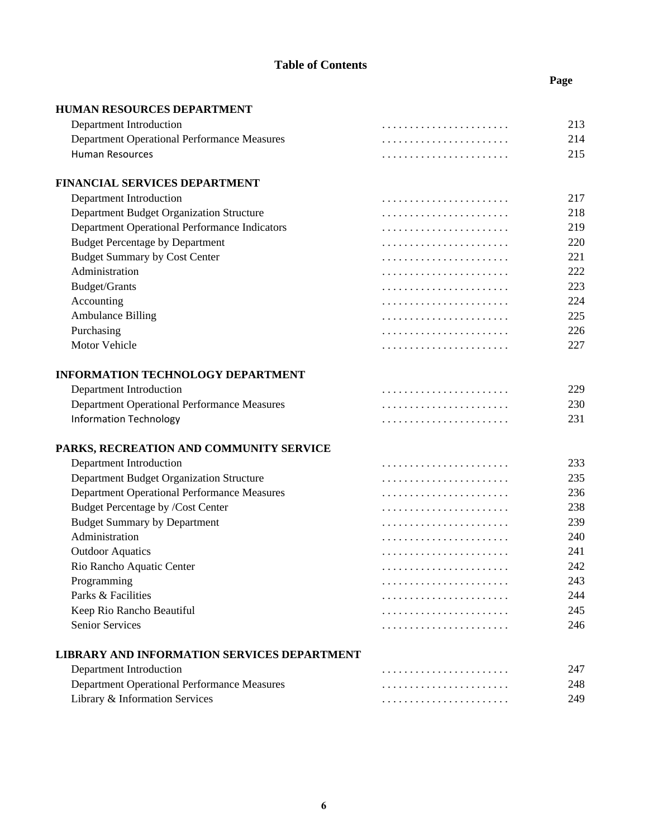**Page**

| HUMAN RESOURCES DEPARTMENT                           |     |
|------------------------------------------------------|-----|
| Department Introduction                              | 213 |
| <b>Department Operational Performance Measures</b>   | 214 |
| <b>Human Resources</b>                               | 215 |
| FINANCIAL SERVICES DEPARTMENT                        |     |
| Department Introduction                              | 217 |
| Department Budget Organization Structure             | 218 |
| <b>Department Operational Performance Indicators</b> | 219 |
| <b>Budget Percentage by Department</b>               | 220 |
| <b>Budget Summary by Cost Center</b>                 | 221 |
| Administration                                       | 222 |
| Budget/Grants                                        | 223 |
| Accounting                                           | 224 |
| <b>Ambulance Billing</b>                             | 225 |
| Purchasing                                           | 226 |
| Motor Vehicle                                        | 227 |
| <b>INFORMATION TECHNOLOGY DEPARTMENT</b>             |     |
| Department Introduction                              | 229 |
| <b>Department Operational Performance Measures</b>   | 230 |
| <b>Information Technology</b>                        | 231 |
| PARKS, RECREATION AND COMMUNITY SERVICE              |     |
| Department Introduction                              | 233 |
| Department Budget Organization Structure             | 235 |
| <b>Department Operational Performance Measures</b>   | 236 |
| Budget Percentage by /Cost Center                    | 238 |
| <b>Budget Summary by Department</b>                  | 239 |
| Administration                                       | 240 |
| <b>Outdoor Aquatics</b>                              | 241 |
| Rio Rancho Aquatic Center                            | 242 |
| Programming                                          | 243 |
| Parks & Facilities                                   | 244 |
|                                                      | 245 |
| Keep Rio Rancho Beautiful<br><b>Senior Services</b>  | 246 |
|                                                      |     |

# **LIBRARY AND INFORMATION SERVICES DEPARTMENT**

| Department Introduction                            |     |
|----------------------------------------------------|-----|
| <b>Department Operational Performance Measures</b> | 248 |
| Library & Information Services                     | 249 |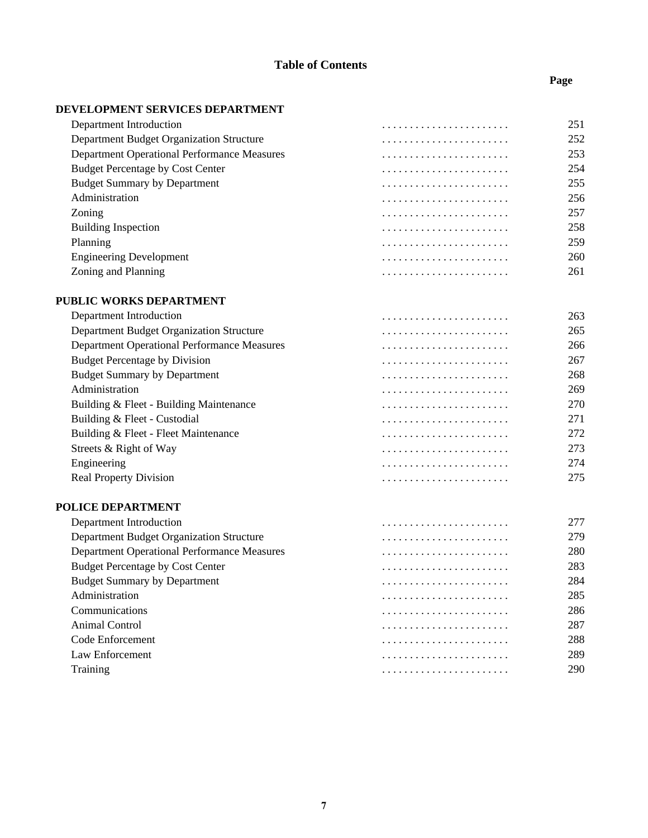### **DEVELOPMENT SERVICES DEPARTMENT**

| Department Introduction                            | 251 |
|----------------------------------------------------|-----|
| Department Budget Organization Structure           | 252 |
| <b>Department Operational Performance Measures</b> | 253 |
| <b>Budget Percentage by Cost Center</b>            | 254 |
| <b>Budget Summary by Department</b>                | 255 |
| Administration                                     | 256 |
| Zoning                                             | 257 |
| <b>Building Inspection</b>                         | 258 |
| Planning                                           | 259 |
| <b>Engineering Development</b>                     | 260 |
| Zoning and Planning                                | 261 |
|                                                    |     |

### **PUBLIC WORKS DEPARTMENT**

|             | Department Introduction                            | 263 |
|-------------|----------------------------------------------------|-----|
|             | Department Budget Organization Structure           | 265 |
|             | <b>Department Operational Performance Measures</b> | 266 |
|             | <b>Budget Percentage by Division</b>               | 267 |
|             | <b>Budget Summary by Department</b>                | 268 |
|             | Administration                                     | 269 |
|             | Building & Fleet - Building Maintenance            | 270 |
|             | Building & Fleet - Custodial                       | 271 |
|             | Building & Fleet - Fleet Maintenance               | 272 |
|             | Streets & Right of Way                             | 273 |
| Engineering |                                                    | 274 |
|             | <b>Real Property Division</b>                      | 275 |

### **POLICE DEPARTMENT**

| Department Introduction                            |     |
|----------------------------------------------------|-----|
| Department Budget Organization Structure           | 279 |
| <b>Department Operational Performance Measures</b> | 280 |
| <b>Budget Percentage by Cost Center</b>            | 283 |
| <b>Budget Summary by Department</b>                | 284 |
| Administration                                     | 285 |
| Communications                                     | 286 |
| Animal Control                                     | 287 |
| Code Enforcement                                   | 288 |
| Law Enforcement                                    | 289 |
| Training                                           | 290 |

### **Page**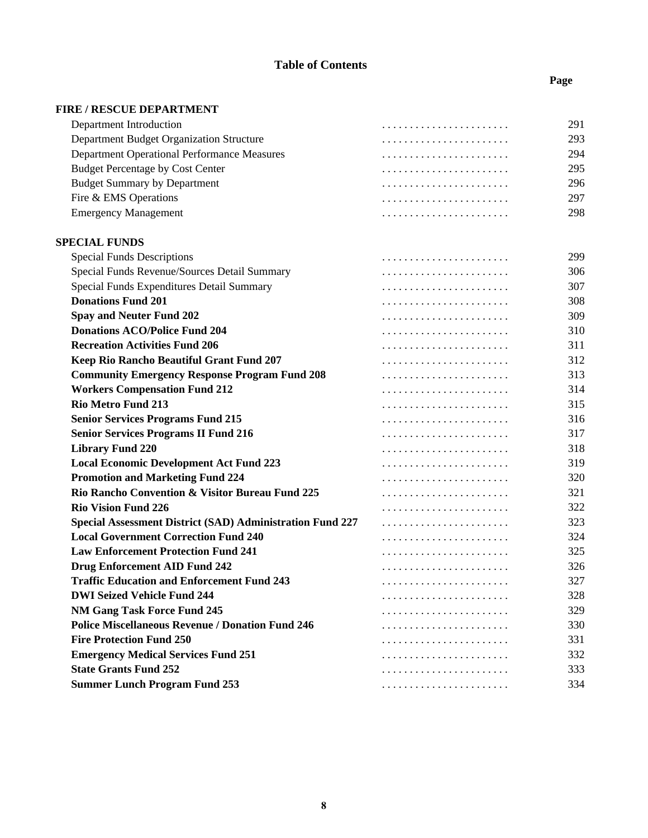## **Page**

| <b>FIRE / RESCUE DEPARTMENT</b>                                  |     |
|------------------------------------------------------------------|-----|
| Department Introduction                                          | 291 |
| Department Budget Organization Structure                         | 293 |
| <b>Department Operational Performance Measures</b>               | 294 |
| <b>Budget Percentage by Cost Center</b>                          | 295 |
| <b>Budget Summary by Department</b>                              | 296 |
| Fire & EMS Operations                                            | 297 |
| <b>Emergency Management</b>                                      | 298 |
| <b>SPECIAL FUNDS</b>                                             |     |
| <b>Special Funds Descriptions</b>                                | 299 |
| Special Funds Revenue/Sources Detail Summary                     | 306 |
| Special Funds Expenditures Detail Summary                        | 307 |
| <b>Donations Fund 201</b>                                        | 308 |
| <b>Spay and Neuter Fund 202</b>                                  | 309 |
| <b>Donations ACO/Police Fund 204</b>                             | 310 |
| <b>Recreation Activities Fund 206</b>                            | 311 |
| Keep Rio Rancho Beautiful Grant Fund 207                         | 312 |
| <b>Community Emergency Response Program Fund 208</b>             | 313 |
| <b>Workers Compensation Fund 212</b>                             | 314 |
| <b>Rio Metro Fund 213</b>                                        | 315 |
| <b>Senior Services Programs Fund 215</b>                         | 316 |
| <b>Senior Services Programs II Fund 216</b>                      | 317 |
| <b>Library Fund 220</b>                                          | 318 |
| <b>Local Economic Development Act Fund 223</b>                   | 319 |
| <b>Promotion and Marketing Fund 224</b>                          | 320 |
| Rio Rancho Convention & Visitor Bureau Fund 225                  | 321 |
| <b>Rio Vision Fund 226</b>                                       | 322 |
| <b>Special Assessment District (SAD) Administration Fund 227</b> | 323 |
| <b>Local Government Correction Fund 240</b>                      | 324 |
| <b>Law Enforcement Protection Fund 241</b>                       | 325 |
| <b>Drug Enforcement AID Fund 242</b>                             | 326 |
| <b>Traffic Education and Enforcement Fund 243</b>                | 327 |
| <b>DWI Seized Vehicle Fund 244</b>                               | 328 |
| <b>NM Gang Task Force Fund 245</b>                               | 329 |
| <b>Police Miscellaneous Revenue / Donation Fund 246</b>          | 330 |
| <b>Fire Protection Fund 250</b>                                  | 331 |
| <b>Emergency Medical Services Fund 251</b>                       | 332 |
| <b>State Grants Fund 252</b>                                     | 333 |
| <b>Summer Lunch Program Fund 253</b>                             | 334 |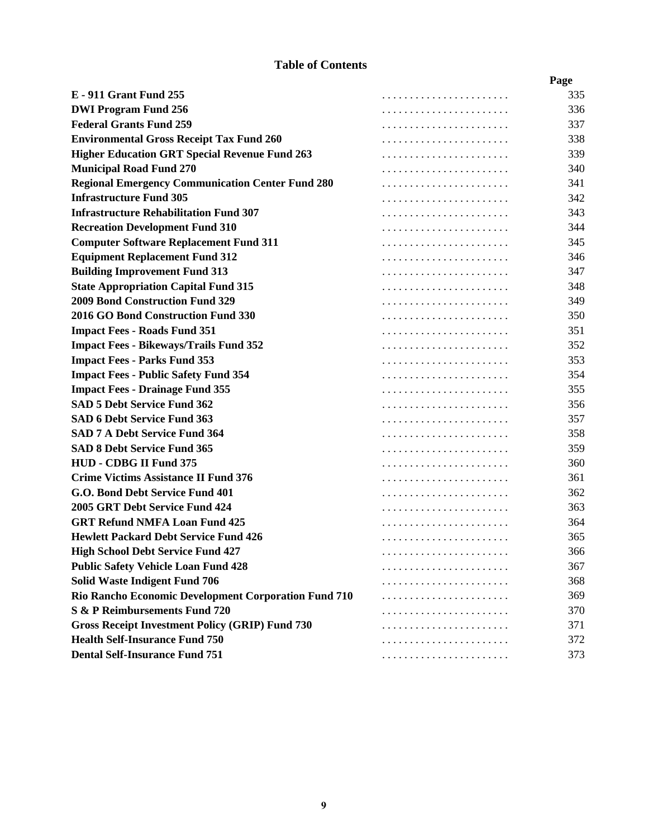|                                                         |   | Page |
|---------------------------------------------------------|---|------|
| <b>E</b> - 911 Grant Fund 255                           |   | 335  |
| <b>DWI Program Fund 256</b>                             |   | 336  |
| <b>Federal Grants Fund 259</b>                          |   | 337  |
| <b>Environmental Gross Receipt Tax Fund 260</b>         |   | 338  |
| <b>Higher Education GRT Special Revenue Fund 263</b>    |   | 339  |
| <b>Municipal Road Fund 270</b>                          |   | 340  |
| <b>Regional Emergency Communication Center Fund 280</b> |   | 341  |
| <b>Infrastructure Fund 305</b>                          |   | 342  |
| <b>Infrastructure Rehabilitation Fund 307</b>           |   | 343  |
| <b>Recreation Development Fund 310</b>                  |   | 344  |
| <b>Computer Software Replacement Fund 311</b>           |   | 345  |
| <b>Equipment Replacement Fund 312</b>                   |   | 346  |
| <b>Building Improvement Fund 313</b>                    |   | 347  |
| <b>State Appropriation Capital Fund 315</b>             |   | 348  |
| <b>2009 Bond Construction Fund 329</b>                  |   | 349  |
| 2016 GO Bond Construction Fund 330                      |   | 350  |
| <b>Impact Fees - Roads Fund 351</b>                     |   | 351  |
| <b>Impact Fees - Bikeways/Trails Fund 352</b>           |   | 352  |
| <b>Impact Fees - Parks Fund 353</b>                     |   | 353  |
| <b>Impact Fees - Public Safety Fund 354</b>             |   | 354  |
| <b>Impact Fees - Drainage Fund 355</b>                  |   | 355  |
| SAD 5 Debt Service Fund 362                             |   | 356  |
| <b>SAD 6 Debt Service Fund 363</b>                      |   | 357  |
| <b>SAD 7 A Debt Service Fund 364</b>                    |   | 358  |
| <b>SAD 8 Debt Service Fund 365</b>                      |   | 359  |
| HUD - CDBG II Fund 375                                  |   | 360  |
| <b>Crime Victims Assistance II Fund 376</b>             |   | 361  |
| G.O. Bond Debt Service Fund 401                         |   | 362  |
| 2005 GRT Debt Service Fund 424                          |   | 363  |
| <b>GRT Refund NMFA Loan Fund 425</b>                    |   | 364  |
| <b>Hewlett Packard Debt Service Fund 426</b>            |   | 365  |
| <b>High School Debt Service Fund 427</b>                |   | 366  |
| <b>Public Safety Vehicle Loan Fund 428</b>              | . | 367  |
| <b>Solid Waste Indigent Fund 706</b>                    |   | 368  |
| Rio Rancho Economic Development Corporation Fund 710    |   | 369  |
| <b>S &amp; P Reimbursements Fund 720</b>                |   | 370  |
| <b>Gross Receipt Investment Policy (GRIP) Fund 730</b>  |   | 371  |
| <b>Health Self-Insurance Fund 750</b>                   |   | 372  |
| <b>Dental Self-Insurance Fund 751</b>                   |   | 373  |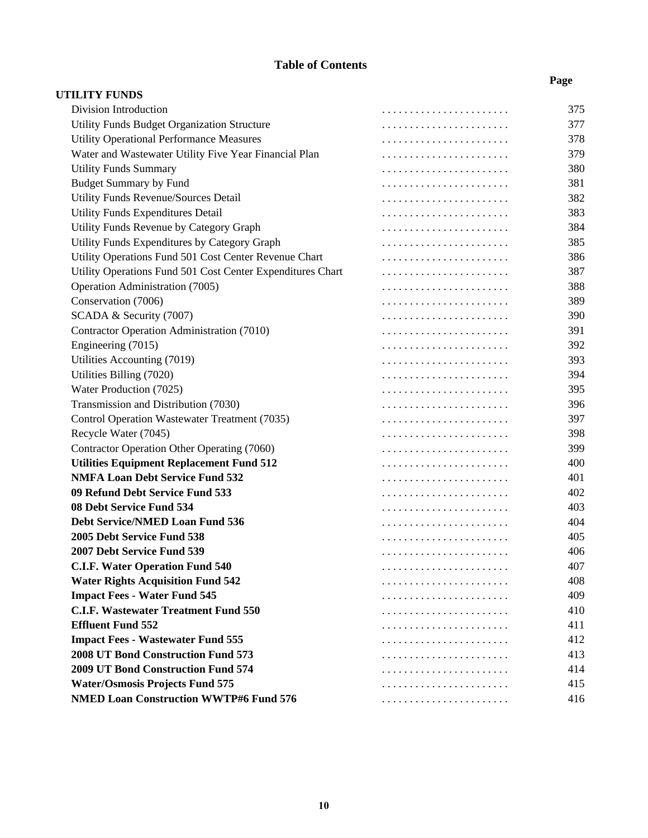**Page**

| <b>UTILITY FUNDS</b>                                       |     |
|------------------------------------------------------------|-----|
| Division Introduction                                      | 375 |
| Utility Funds Budget Organization Structure                | 377 |
| <b>Utility Operational Performance Measures</b>            | 378 |
| Water and Wastewater Utility Five Year Financial Plan      | 379 |
| <b>Utility Funds Summary</b>                               | 380 |
| <b>Budget Summary by Fund</b>                              | 381 |
| Utility Funds Revenue/Sources Detail                       | 382 |
| Utility Funds Expenditures Detail                          | 383 |
| Utility Funds Revenue by Category Graph                    | 384 |
| Utility Funds Expenditures by Category Graph               | 385 |
| Utility Operations Fund 501 Cost Center Revenue Chart      | 386 |
| Utility Operations Fund 501 Cost Center Expenditures Chart | 387 |
| Operation Administration (7005)                            | 388 |
| Conservation (7006)                                        | 389 |
| SCADA & Security (7007)                                    | 390 |
| Contractor Operation Administration (7010)                 | 391 |
| Engineering (7015)                                         | 392 |
| Utilities Accounting (7019)                                | 393 |
| Utilities Billing (7020)                                   | 394 |
| Water Production (7025)                                    | 395 |
| Transmission and Distribution (7030)                       | 396 |
| Control Operation Wastewater Treatment (7035)              | 397 |
| Recycle Water (7045)                                       | 398 |
| Contractor Operation Other Operating (7060)                | 399 |
| <b>Utilities Equipment Replacement Fund 512</b>            | 400 |
| <b>NMFA Loan Debt Service Fund 532</b>                     | 401 |
| 09 Refund Debt Service Fund 533                            | 402 |
| 08 Debt Service Fund 534                                   | 403 |
| <b>Debt Service/NMED Loan Fund 536</b>                     | 404 |
| 2005 Debt Service Fund 538                                 | 405 |
| 2007 Debt Service Fund 539                                 | 406 |
| <b>C.I.F. Water Operation Fund 540</b>                     | 407 |
| <b>Water Rights Acquisition Fund 542</b>                   | 408 |
| <b>Impact Fees - Water Fund 545</b>                        | 409 |
| <b>C.I.F. Wastewater Treatment Fund 550</b>                | 410 |
| <b>Effluent Fund 552</b>                                   | 411 |
| <b>Impact Fees - Wastewater Fund 555</b>                   | 412 |
| 2008 UT Bond Construction Fund 573                         | 413 |
| 2009 UT Bond Construction Fund 574                         | 414 |
| <b>Water/Osmosis Projects Fund 575</b>                     | 415 |
| <b>NMED Loan Construction WWTP#6 Fund 576</b>              | 416 |